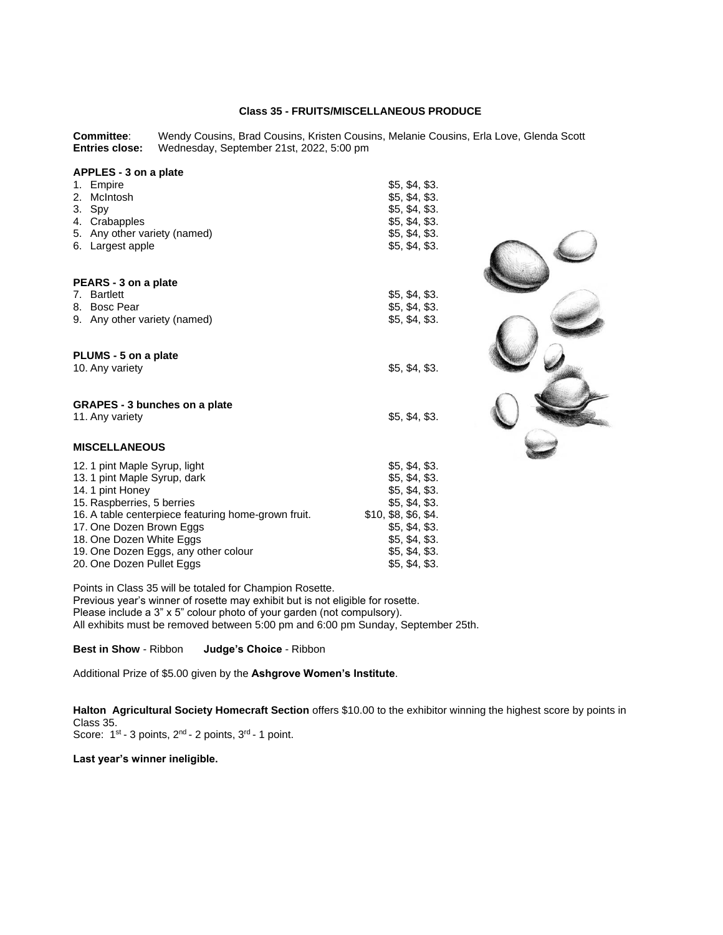# **Class 35 - FRUITS/MISCELLANEOUS PRODUCE**

**Committee:** Wendy Cousins, Brad Cousins, Kristen Cousins, Melanie Cousins, Erla Love, Glenda Scott<br> **Entries close:** Wednesday, September 21st, 2022, 5:00 pm **Entries close:** Wednesday, September 21st, 2022, 5:00 pm

| APPLES - 3 on a plate                               |                      |                   |
|-----------------------------------------------------|----------------------|-------------------|
| 1. Empire                                           | \$5, \$4, \$3.       |                   |
| 2. McIntosh                                         | \$5, \$4, \$3.       |                   |
| 3. Spy                                              | \$5, \$4, \$3.       |                   |
| 4. Crabapples                                       | \$5, \$4, \$3.       |                   |
| 5. Any other variety (named)                        | \$5, \$4, \$3.       |                   |
| 6. Largest apple                                    | \$5, \$4, \$3.       |                   |
|                                                     |                      |                   |
|                                                     |                      |                   |
| PEARS - 3 on a plate<br>7. Bartlett                 |                      |                   |
| 8. Bosc Pear                                        | \$5, \$4, \$3.       |                   |
|                                                     | \$5, \$4, \$3.       |                   |
| 9. Any other variety (named)                        | \$5, \$4, \$3.       |                   |
|                                                     |                      |                   |
| PLUMS - 5 on a plate                                |                      | <b>CONSULTANT</b> |
| 10. Any variety                                     | \$5, \$4, \$3.       |                   |
|                                                     |                      |                   |
| <b>GRAPES - 3 bunches on a plate</b>                |                      |                   |
| 11. Any variety                                     | \$5, \$4, \$3.       |                   |
|                                                     |                      |                   |
| <b>MISCELLANEOUS</b>                                |                      |                   |
| 12. 1 pint Maple Syrup, light                       | \$5, \$4, \$3.       |                   |
| 13. 1 pint Maple Syrup, dark                        | \$5, \$4, \$3.       |                   |
| 14. 1 pint Honey                                    | \$5, \$4, \$3.       |                   |
| 15. Raspberries, 5 berries                          | \$5, \$4, \$3.       |                   |
| 16. A table centerpiece featuring home-grown fruit. | \$10, \$8, \$6, \$4. |                   |
| 17. One Dozen Brown Eggs                            | \$5, \$4, \$3.       |                   |
| 18. One Dozen White Eggs                            | \$5, \$4, \$3.       |                   |
| 19. One Dozen Eggs, any other colour                | \$5, \$4, \$3.       |                   |
| 20. One Dozen Pullet Eggs                           | \$5, \$4, \$3.       |                   |
|                                                     |                      |                   |

Points in Class 35 will be totaled for Champion Rosette.

Previous year's winner of rosette may exhibit but is not eligible for rosette.

Please include a 3" x 5" colour photo of your garden (not compulsory).

All exhibits must be removed between 5:00 pm and 6:00 pm Sunday, September 25th.

**Best in Show** - Ribbon **Judge's Choice** - Ribbon

Additional Prize of \$5.00 given by the **Ashgrove Women's Institute**.

**Halton Agricultural Society Homecraft Section** offers \$10.00 to the exhibitor winning the highest score by points in Class 35. Score: 1<sup>st</sup> - 3 points, 2<sup>nd</sup> - 2 points, 3<sup>rd</sup> - 1 point.

#### **Last year's winner ineligible.**

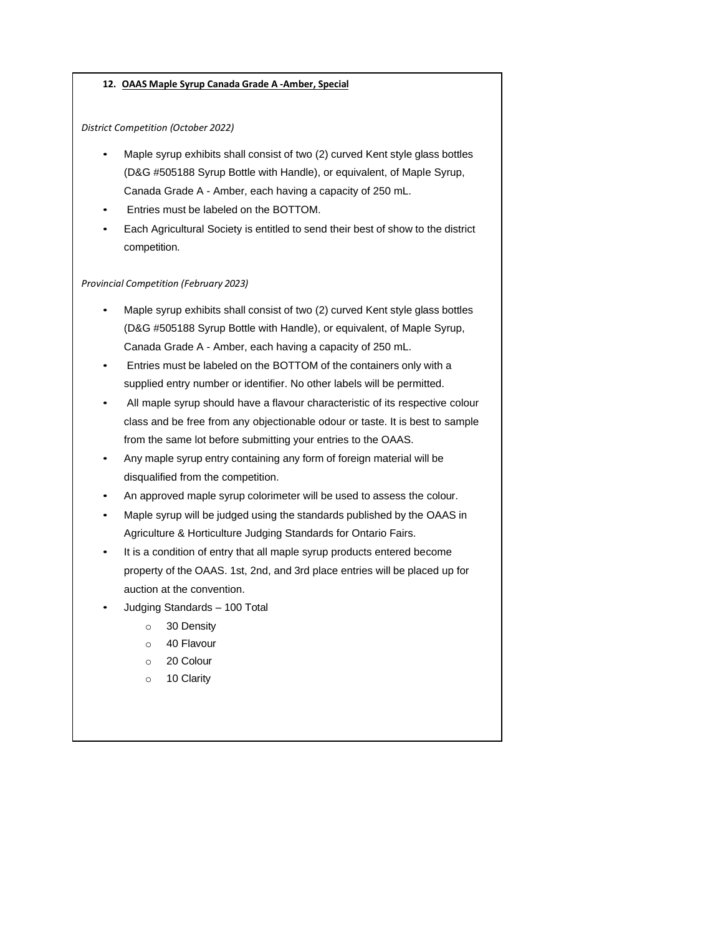### **12. OAAS Maple Syrup Canada Grade A -Amber, Special**

#### *District Competition (October 2022)*

- Maple syrup exhibits shall consist of two (2) curved Kent style glass bottles (D&G #505188 Syrup Bottle with Handle), or equivalent, of Maple Syrup, Canada Grade A - Amber, each having a capacity of 250 mL.
- Entries must be labeled on the BOTTOM.
- Each Agricultural Society is entitled to send their best of show to the district competition.

#### *Provincial Competition (February 2023)*

- Maple syrup exhibits shall consist of two (2) curved Kent style glass bottles (D&G #505188 Syrup Bottle with Handle), or equivalent, of Maple Syrup, Canada Grade A - Amber, each having a capacity of 250 mL.
- Entries must be labeled on the BOTTOM of the containers only with a supplied entry number or identifier. No other labels will be permitted.
- All maple syrup should have a flavour characteristic of its respective colour class and be free from any objectionable odour or taste. It is best to sample from the same lot before submitting your entries to the OAAS.
- Any maple syrup entry containing any form of foreign material will be disqualified from the competition.
- An approved maple syrup colorimeter will be used to assess the colour.
- Maple syrup will be judged using the standards published by the OAAS in Agriculture & Horticulture Judging Standards for Ontario Fairs.
- It is a condition of entry that all maple syrup products entered become property of the OAAS. 1st, 2nd, and 3rd place entries will be placed up for auction at the convention.
- Judging Standards 100 Total
	- o 30 Density
	- o 40 Flavour
	- o 20 Colour
	- o 10 Clarity